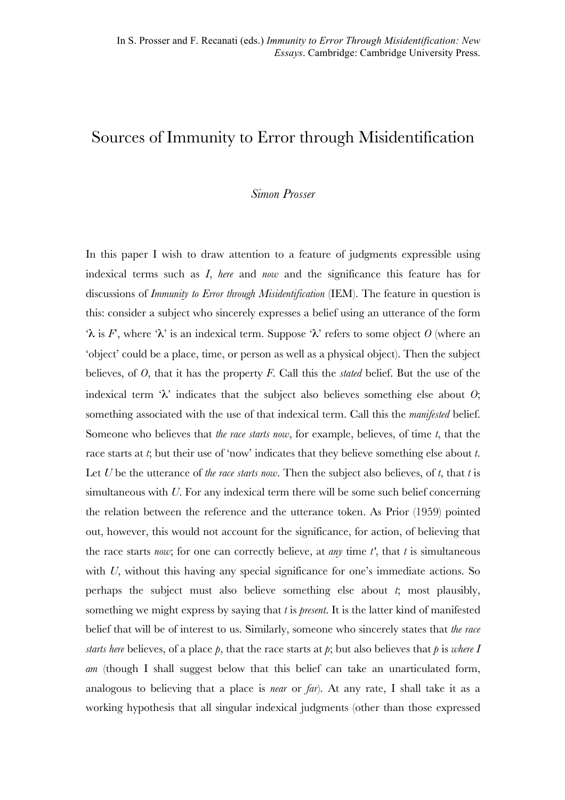# Sources of Immunity to Error through Misidentification

# *Simon Prosser*

In this paper I wish to draw attention to a feature of judgments expressible using indexical terms such as *I*, *here* and *now* and the significance this feature has for discussions of *Immunity to Error through Misidentification* (IEM). The feature in question is this: consider a subject who sincerely expresses a belief using an utterance of the form  $\lambda$  is *F*, where  $\lambda$  is an indexical term. Suppose  $\lambda$  refers to some object *O* (where an 'object' could be a place, time, or person as well as a physical object). Then the subject believes, of *O*, that it has the property *F*. Call this the *stated* belief. But the use of the indexical term  $\hat{v}$  indicates that the subject also believes something else about *O*; something associated with the use of that indexical term. Call this the *manifested* belief. Someone who believes that *the race starts now*, for example, believes, of time *t*, that the race starts at *t*; but their use of 'now' indicates that they believe something else about *t*. Let *U* be the utterance of *the race starts now*. Then the subject also believes, of *t*, that *t* is simultaneous with *U*. For any indexical term there will be some such belief concerning the relation between the reference and the utterance token. As Prior (1959) pointed out, however, this would not account for the significance, for action, of believing that the race starts *now*; for one can correctly believe, at *any* time *t'*, that *t* is simultaneous with *U*, without this having any special significance for one's immediate actions. So perhaps the subject must also believe something else about *t*; most plausibly, something we might express by saying that *t* is *present*. It is the latter kind of manifested belief that will be of interest to us. Similarly, someone who sincerely states that *the race starts here* believes, of a place  $p$ , that the race starts at  $p$ ; but also believes that  $p$  is *where*  $I$ *am* (though I shall suggest below that this belief can take an unarticulated form, analogous to believing that a place is *near* or *far*). At any rate, I shall take it as a working hypothesis that all singular indexical judgments (other than those expressed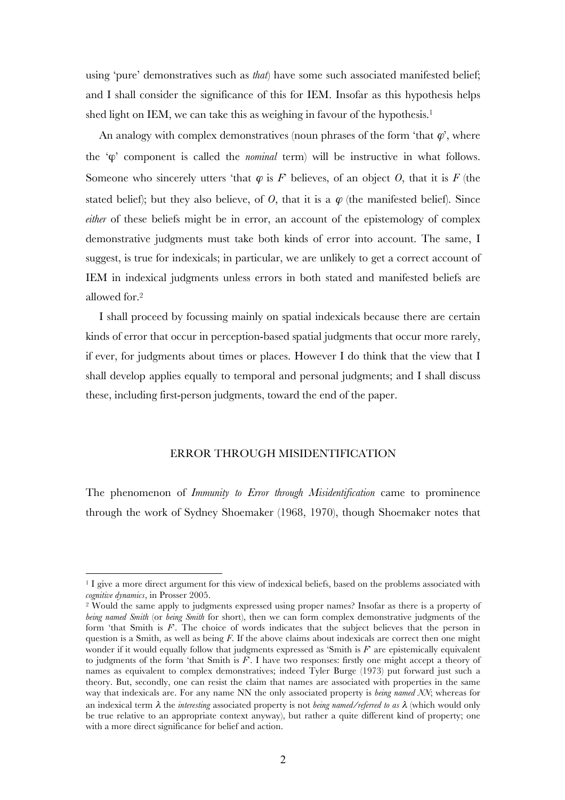using 'pure' demonstratives such as *that*) have some such associated manifested belief; and I shall consider the significance of this for IEM. Insofar as this hypothesis helps shed light on IEM, we can take this as weighing in favour of the hypothesis.<sup>1</sup>

An analogy with complex demonstratives (noun phrases of the form 'that  $\varphi$ ', where the 'ϕ' component is called the *nominal* term) will be instructive in what follows. Someone who sincerely utters 'that  $\varphi$  is  $F$ ' believes, of an object  $O$ , that it is  $F$  (the stated belief); but they also believe, of  $O$ , that it is a  $\varphi$  (the manifested belief). Since *either* of these beliefs might be in error, an account of the epistemology of complex demonstrative judgments must take both kinds of error into account. The same, I suggest, is true for indexicals; in particular, we are unlikely to get a correct account of IEM in indexical judgments unless errors in both stated and manifested beliefs are allowed for.2

I shall proceed by focussing mainly on spatial indexicals because there are certain kinds of error that occur in perception-based spatial judgments that occur more rarely, if ever, for judgments about times or places. However I do think that the view that I shall develop applies equally to temporal and personal judgments; and I shall discuss these, including first-person judgments, toward the end of the paper.

# ERROR THROUGH MISIDENTIFICATION

The phenomenon of *Immunity to Error through Misidentification* came to prominence through the work of Sydney Shoemaker (1968, 1970), though Shoemaker notes that

<sup>&</sup>lt;sup>1</sup> I give a more direct argument for this view of indexical beliefs, based on the problems associated with *cognitive dynamics*, in Prosser 2005.

<sup>&</sup>lt;sup>2</sup> Would the same apply to judgments expressed using proper names? Insofar as there is a property of *being named Smith* (or *being Smith* for short), then we can form complex demonstrative judgments of the form 'that Smith is *F*'. The choice of words indicates that the subject believes that the person in question is a Smith, as well as being *F*. If the above claims about indexicals are correct then one might wonder if it would equally follow that judgments expressed as 'Smith is *F*' are epistemically equivalent to judgments of the form 'that Smith is *F*'. I have two responses: firstly one might accept a theory of names as equivalent to complex demonstratives; indeed Tyler Burge (1973) put forward just such a theory. But, secondly, one can resist the claim that names are associated with properties in the same way that indexicals are. For any name NN the only associated property is *being named NN*; whereas for an indexical term  $\lambda$  the *interesting* associated property is not *being named/referred to as*  $\lambda$  (which would only be true relative to an appropriate context anyway), but rather a quite different kind of property; one with a more direct significance for belief and action.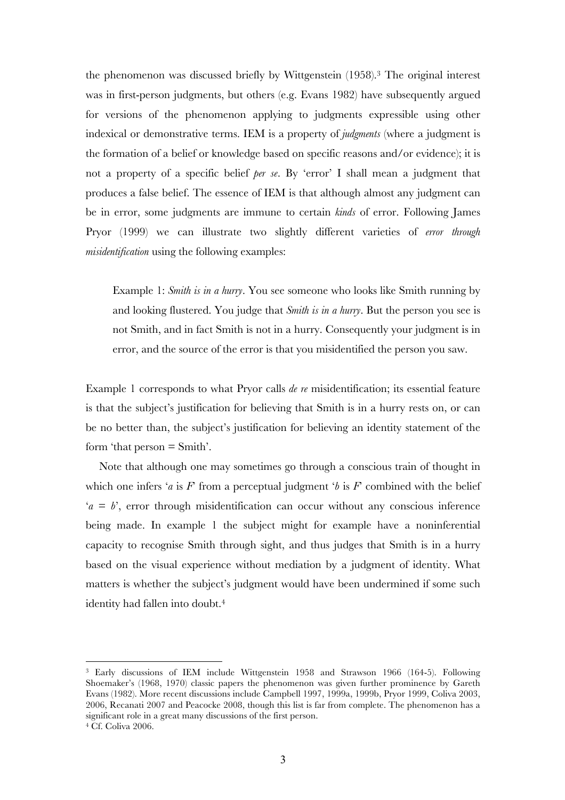the phenomenon was discussed briefly by Wittgenstein (1958).3 The original interest was in first-person judgments, but others (e.g. Evans 1982) have subsequently argued for versions of the phenomenon applying to judgments expressible using other indexical or demonstrative terms. IEM is a property of *judgments* (where a judgment is the formation of a belief or knowledge based on specific reasons and/or evidence); it is not a property of a specific belief *per se*. By 'error' I shall mean a judgment that produces a false belief. The essence of IEM is that although almost any judgment can be in error, some judgments are immune to certain *kinds* of error. Following James Pryor (1999) we can illustrate two slightly different varieties of *error through misidentification* using the following examples:

Example 1: *Smith is in a hurry*. You see someone who looks like Smith running by and looking flustered. You judge that *Smith is in a hurry*. But the person you see is not Smith, and in fact Smith is not in a hurry. Consequently your judgment is in error, and the source of the error is that you misidentified the person you saw.

Example 1 corresponds to what Pryor calls *de re* misidentification; its essential feature is that the subject's justification for believing that Smith is in a hurry rests on, or can be no better than, the subject's justification for believing an identity statement of the form 'that person = Smith'.

Note that although one may sometimes go through a conscious train of thought in which one infers '*a* is  $F$ ' from a perceptual judgment '*b* is  $F$ ' combined with the belief  $a = b$ <sup>'</sup>, error through misidentification can occur without any conscious inference being made. In example 1 the subject might for example have a noninferential capacity to recognise Smith through sight, and thus judges that Smith is in a hurry based on the visual experience without mediation by a judgment of identity. What matters is whether the subject's judgment would have been undermined if some such identity had fallen into doubt.4

<sup>3</sup> Early discussions of IEM include Wittgenstein 1958 and Strawson 1966 (164-5). Following Shoemaker's (1968, 1970) classic papers the phenomenon was given further prominence by Gareth Evans (1982). More recent discussions include Campbell 1997, 1999a, 1999b, Pryor 1999, Coliva 2003, 2006, Recanati 2007 and Peacocke 2008, though this list is far from complete. The phenomenon has a significant role in a great many discussions of the first person.

<sup>4</sup> Cf. Coliva 2006.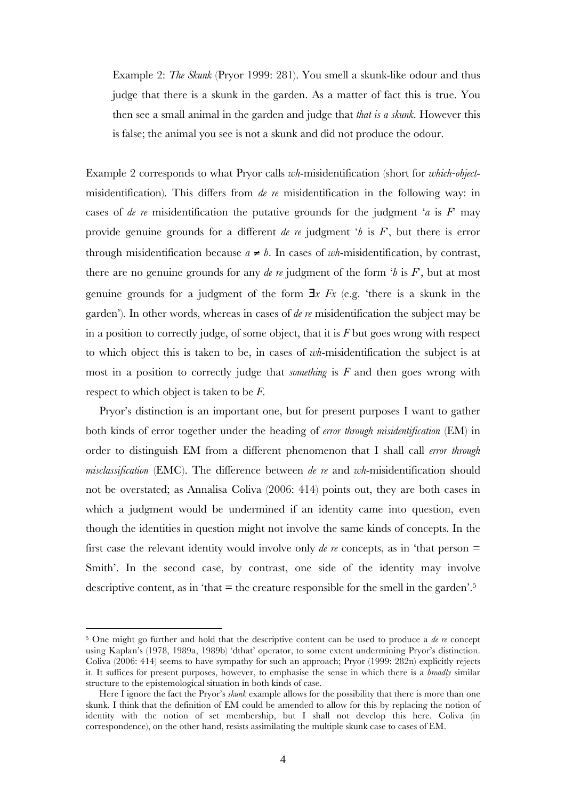Example 2: *The Skunk* (Pryor 1999: 281). You smell a skunk-like odour and thus judge that there is a skunk in the garden. As a matter of fact this is true. You then see a small animal in the garden and judge that *that is a skunk*. However this is false; the animal you see is not a skunk and did not produce the odour.

Example 2 corresponds to what Pryor calls *wh*-misidentification (short for *which-object*misidentification). This differs from *de re* misidentification in the following way: in cases of *de re* misidentification the putative grounds for the judgment '*a* is *F*' may provide genuine grounds for a different *de re* judgment '*b* is *F*', but there is error through misidentification because  $a \neq b$ . In cases of *wh*-misidentification, by contrast, there are no genuine grounds for any *de re* judgment of the form '*b* is *F*', but at most genuine grounds for a judgment of the form ∃*x Fx* (e.g. 'there is a skunk in the garden'). In other words, whereas in cases of *de re* misidentification the subject may be in a position to correctly judge, of some object, that it is *F* but goes wrong with respect to which object this is taken to be, in cases of *wh*-misidentification the subject is at most in a position to correctly judge that *something* is *F* and then goes wrong with respect to which object is taken to be *F*.

Pryor's distinction is an important one, but for present purposes I want to gather both kinds of error together under the heading of *error through misidentification* (EM) in order to distinguish EM from a different phenomenon that I shall call *error through misclassification* (EMC). The difference between *de re* and *wh*-misidentification should not be overstated; as Annalisa Coliva (2006: 414) points out, they are both cases in which a judgment would be undermined if an identity came into question, even though the identities in question might not involve the same kinds of concepts. In the first case the relevant identity would involve only *de re* concepts, as in 'that person  $=$ Smith'. In the second case, by contrast, one side of the identity may involve descriptive content, as in 'that  $=$  the creature responsible for the smell in the garden'.<sup>5</sup>

<sup>5</sup> One might go further and hold that the descriptive content can be used to produce a *de re* concept using Kaplan's (1978, 1989a, 1989b) 'dthat' operator, to some extent undermining Pryor's distinction. Coliva (2006: 414) seems to have sympathy for such an approach; Pryor (1999: 282n) explicitly rejects it. It suffices for present purposes, however, to emphasise the sense in which there is a *broadly* similar structure to the epistemological situation in both kinds of case.

Here I ignore the fact the Pryor's *skunk* example allows for the possibility that there is more than one skunk. I think that the definition of EM could be amended to allow for this by replacing the notion of identity with the notion of set membership, but I shall not develop this here. Coliva (in correspondence), on the other hand, resists assimilating the multiple skunk case to cases of EM.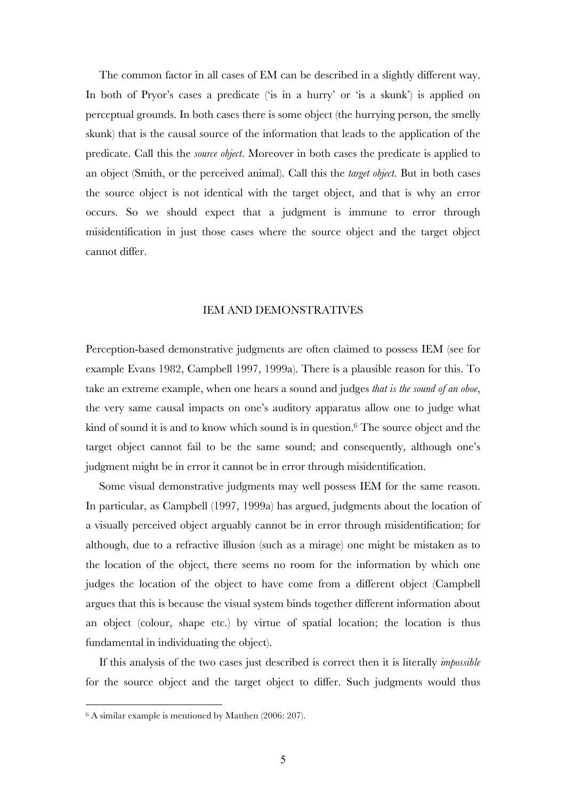The common factor in all cases of EM can be described in a slightly different way. In both of Pryor's cases a predicate ('is in a hurry' or 'is a skunk') is applied on perceptual grounds. In both cases there is some object (the hurrying person, the smelly skunk) that is the causal source of the information that leads to the application of the predicate. Call this the *source object*. Moreover in both cases the predicate is applied to an object (Smith, or the perceived animal). Call this the *target object*. But in both cases the source object is not identical with the target object, and that is why an error occurs. So we should expect that a judgment is immune to error through misidentification in just those cases where the source object and the target object cannot differ.

# IEM AND DEMONSTRATIVES

Perception-based demonstrative judgments are often claimed to possess IEM (see for example Evans 1982, Campbell 1997, 1999a). There is a plausible reason for this. To take an extreme example, when one hears a sound and judges *that is the sound of an oboe*, the very same causal impacts on one's auditory apparatus allow one to judge what kind of sound it is and to know which sound is in question.<sup>6</sup> The source object and the target object cannot fail to be the same sound; and consequently, although one's judgment might be in error it cannot be in error through misidentification.

Some visual demonstrative judgments may well possess IEM for the same reason. In particular, as Campbell (1997, 1999a) has argued, judgments about the location of a visually perceived object arguably cannot be in error through misidentification; for although, due to a refractive illusion (such as a mirage) one might be mistaken as to the location of the object, there seems no room for the information by which one judges the location of the object to have come from a different object (Campbell argues that this is because the visual system binds together different information about an object (colour, shape etc.) by virtue of spatial location; the location is thus fundamental in individuating the object).

If this analysis of the two cases just described is correct then it is literally *impossible* for the source object and the target object to differ. Such judgments would thus

<sup>6</sup> A similar example is mentioned by Matthen (2006: 207).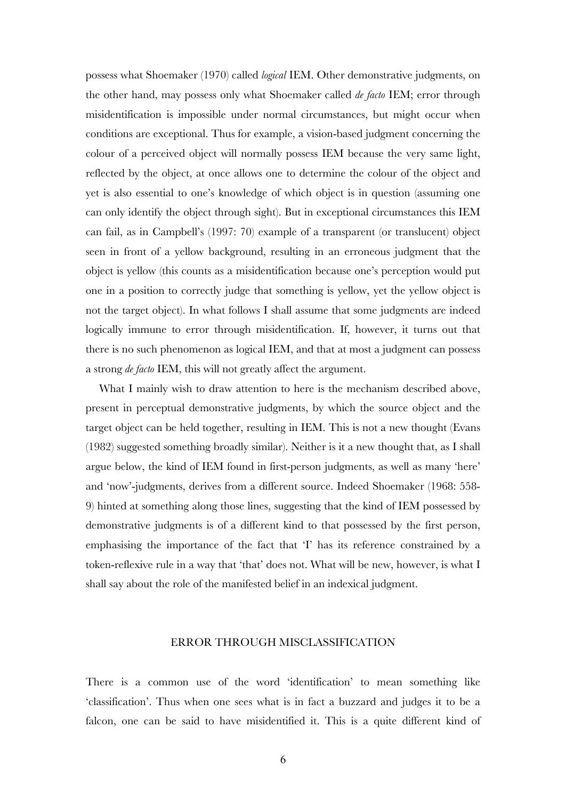possess what Shoemaker (1970) called *logical* IEM. Other demonstrative judgments, on the other hand, may possess only what Shoemaker called *de facto* IEM; error through misidentification is impossible under normal circumstances, but might occur when conditions are exceptional. Thus for example, a vision-based judgment concerning the colour of a perceived object will normally possess IEM because the very same light, reflected by the object, at once allows one to determine the colour of the object and yet is also essential to one's knowledge of which object is in question (assuming one can only identify the object through sight). But in exceptional circumstances this IEM can fail, as in Campbell's (1997: 70) example of a transparent (or translucent) object seen in front of a yellow background, resulting in an erroneous judgment that the object is yellow (this counts as a misidentification because one's perception would put one in a position to correctly judge that something is yellow, yet the yellow object is not the target object). In what follows I shall assume that some judgments are indeed logically immune to error through misidentification. If, however, it turns out that there is no such phenomenon as logical IEM, and that at most a judgment can possess a strong *de facto* IEM, this will not greatly affect the argument.

What I mainly wish to draw attention to here is the mechanism described above, present in perceptual demonstrative judgments, by which the source object and the target object can be held together, resulting in IEM. This is not a new thought (Evans (1982) suggested something broadly similar). Neither is it a new thought that, as I shall argue below, the kind of IEM found in first-person judgments, as well as many 'here' and 'now'-judgments, derives from a different source. Indeed Shoemaker (1968: 558- 9) hinted at something along those lines, suggesting that the kind of IEM possessed by demonstrative judgments is of a different kind to that possessed by the first person, emphasising the importance of the fact that 'I' has its reference constrained by a token-reflexive rule in a way that 'that' does not. What will be new, however, is what I shall say about the role of the manifested belief in an indexical judgment.

# ERROR THROUGH MISCLASSIFICATION

There is a common use of the word 'identification' to mean something like 'classification'. Thus when one sees what is in fact a buzzard and judges it to be a falcon, one can be said to have misidentified it. This is a quite different kind of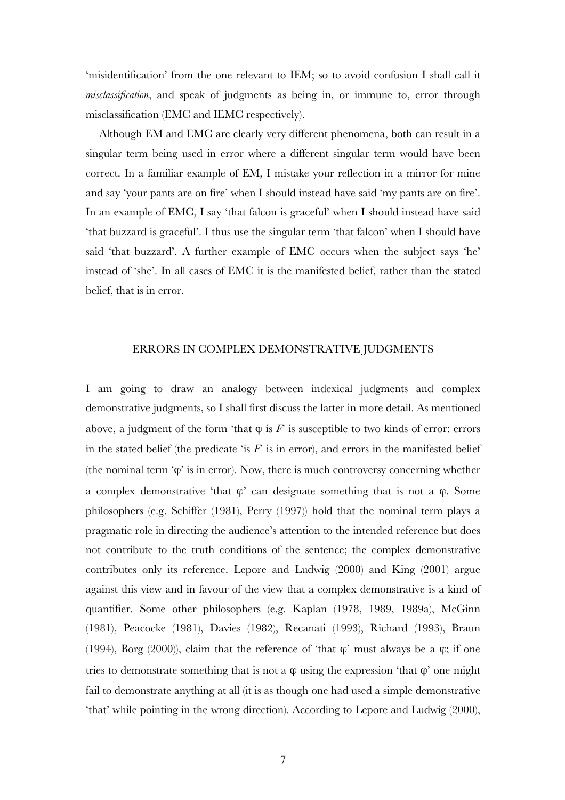'misidentification' from the one relevant to IEM; so to avoid confusion I shall call it *misclassification*, and speak of judgments as being in, or immune to, error through misclassification (EMC and IEMC respectively).

Although EM and EMC are clearly very different phenomena, both can result in a singular term being used in error where a different singular term would have been correct. In a familiar example of EM, I mistake your reflection in a mirror for mine and say 'your pants are on fire' when I should instead have said 'my pants are on fire'. In an example of EMC, I say 'that falcon is graceful' when I should instead have said 'that buzzard is graceful'. I thus use the singular term 'that falcon' when I should have said 'that buzzard'. A further example of EMC occurs when the subject says 'he' instead of 'she'. In all cases of EMC it is the manifested belief, rather than the stated belief, that is in error.

# ERRORS IN COMPLEX DEMONSTRATIVE JUDGMENTS

I am going to draw an analogy between indexical judgments and complex demonstrative judgments, so I shall first discuss the latter in more detail. As mentioned above, a judgment of the form 'that  $\varphi$  is  $F$  is susceptible to two kinds of error: errors in the stated belief (the predicate 'is  $F$  is in error), and errors in the manifested belief (the nominal term  $\varphi$  is in error). Now, there is much controversy concerning whether a complex demonstrative 'that  $\varphi$ ' can designate something that is not a  $\varphi$ . Some philosophers (e.g. Schiffer (1981), Perry (1997)) hold that the nominal term plays a pragmatic role in directing the audience's attention to the intended reference but does not contribute to the truth conditions of the sentence; the complex demonstrative contributes only its reference. Lepore and Ludwig (2000) and King (2001) argue against this view and in favour of the view that a complex demonstrative is a kind of quantifier. Some other philosophers (e.g. Kaplan (1978, 1989, 1989a), McGinn (1981), Peacocke (1981), Davies (1982), Recanati (1993), Richard (1993), Braun (1994), Borg (2000)), claim that the reference of 'that  $\varphi$ ' must always be a  $\varphi$ ; if one tries to demonstrate something that is not a  $\varphi$  using the expression 'that  $\varphi$ ' one might fail to demonstrate anything at all (it is as though one had used a simple demonstrative 'that' while pointing in the wrong direction). According to Lepore and Ludwig (2000),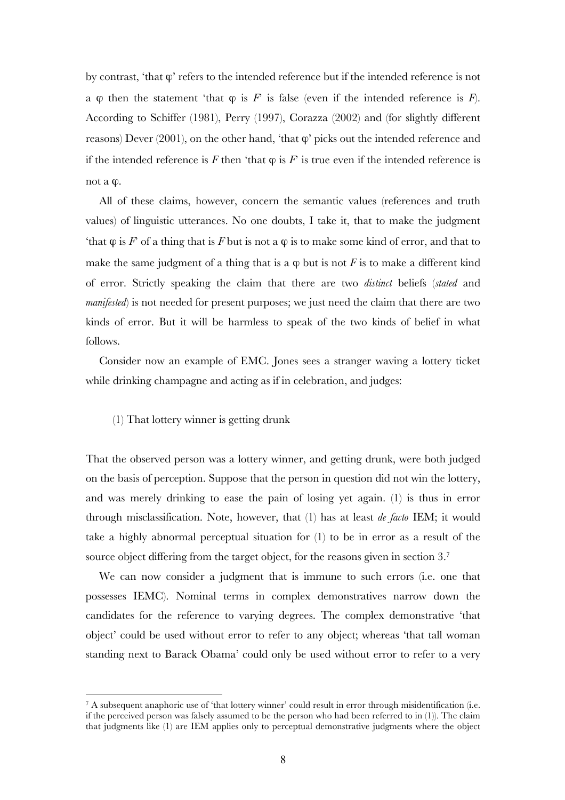by contrast, 'that  $\varphi$ ' refers to the intended reference but if the intended reference is not a  $\varphi$  then the statement 'that  $\varphi$  is *F*' is false (even if the intended reference is *F*). According to Schiffer (1981), Perry (1997), Corazza (2002) and (for slightly different reasons) Dever  $(2001)$ , on the other hand, 'that  $\varphi$ ' picks out the intended reference and if the intended reference is  $F$  then 'that  $\varphi$  is  $F$  is true even if the intended reference is not a ϕ.

All of these claims, however, concern the semantic values (references and truth values) of linguistic utterances. No one doubts, I take it, that to make the judgment 'that  $\varphi$  is *F*' of a thing that is *F* but is not a  $\varphi$  is to make some kind of error, and that to make the same judgment of a thing that is a  $\varphi$  but is not *F* is to make a different kind of error. Strictly speaking the claim that there are two *distinct* beliefs (*stated* and *manifested*) is not needed for present purposes; we just need the claim that there are two kinds of error. But it will be harmless to speak of the two kinds of belief in what follows.

Consider now an example of EMC. Jones sees a stranger waving a lottery ticket while drinking champagne and acting as if in celebration, and judges:

# (1) That lottery winner is getting drunk

 $\overline{a}$ 

That the observed person was a lottery winner, and getting drunk, were both judged on the basis of perception. Suppose that the person in question did not win the lottery, and was merely drinking to ease the pain of losing yet again. (1) is thus in error through misclassification. Note, however, that (1) has at least *de facto* IEM; it would take a highly abnormal perceptual situation for (1) to be in error as a result of the source object differing from the target object, for the reasons given in section 3.7

We can now consider a judgment that is immune to such errors (i.e. one that possesses IEMC). Nominal terms in complex demonstratives narrow down the candidates for the reference to varying degrees. The complex demonstrative 'that object' could be used without error to refer to any object; whereas 'that tall woman standing next to Barack Obama' could only be used without error to refer to a very

<sup>7</sup> A subsequent anaphoric use of 'that lottery winner' could result in error through misidentification (i.e. if the perceived person was falsely assumed to be the person who had been referred to in (1)). The claim that judgments like (1) are IEM applies only to perceptual demonstrative judgments where the object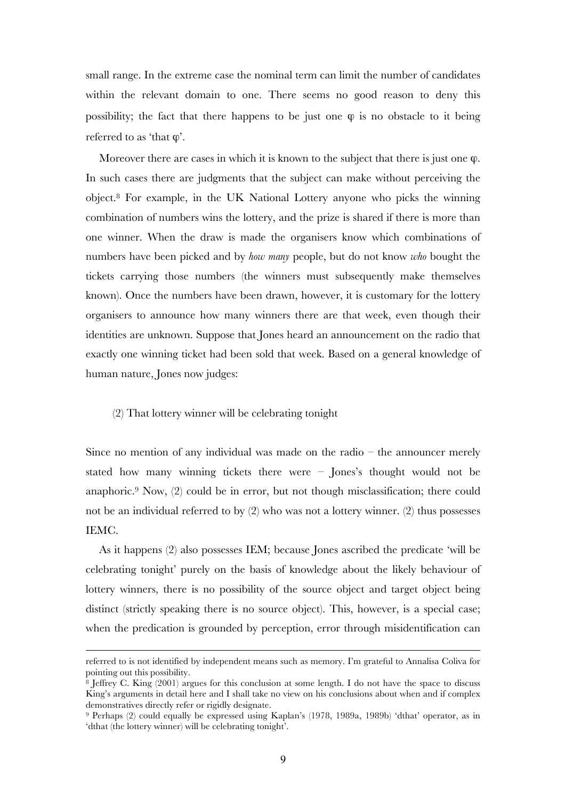small range. In the extreme case the nominal term can limit the number of candidates within the relevant domain to one. There seems no good reason to deny this possibility; the fact that there happens to be just one  $\varphi$  is no obstacle to it being referred to as 'that  $\varphi$ '.

Moreover there are cases in which it is known to the subject that there is just one ϕ. In such cases there are judgments that the subject can make without perceiving the object.8 For example, in the UK National Lottery anyone who picks the winning combination of numbers wins the lottery, and the prize is shared if there is more than one winner. When the draw is made the organisers know which combinations of numbers have been picked and by *how many* people, but do not know *who* bought the tickets carrying those numbers (the winners must subsequently make themselves known). Once the numbers have been drawn, however, it is customary for the lottery organisers to announce how many winners there are that week, even though their identities are unknown. Suppose that Jones heard an announcement on the radio that exactly one winning ticket had been sold that week. Based on a general knowledge of human nature, Jones now judges:

# (2) That lottery winner will be celebrating tonight

1

Since no mention of any individual was made on the radio  $-$  the announcer merely stated how many winning tickets there were – Jones's thought would not be anaphoric.9 Now, (2) could be in error, but not though misclassification; there could not be an individual referred to by (2) who was not a lottery winner. (2) thus possesses IEMC.

As it happens (2) also possesses IEM; because Jones ascribed the predicate 'will be celebrating tonight' purely on the basis of knowledge about the likely behaviour of lottery winners, there is no possibility of the source object and target object being distinct (strictly speaking there is no source object). This, however, is a special case; when the predication is grounded by perception, error through misidentification can

referred to is not identified by independent means such as memory. I'm grateful to Annalisa Coliva for pointing out this possibility.

<sup>&</sup>lt;sup>8</sup> Jeffrey C. King (2001) argues for this conclusion at some length. I do not have the space to discuss King's arguments in detail here and I shall take no view on his conclusions about when and if complex demonstratives directly refer or rigidly designate.

<sup>9</sup> Perhaps (2) could equally be expressed using Kaplan's (1978, 1989a, 1989b) 'dthat' operator, as in 'dthat (the lottery winner) will be celebrating tonight'.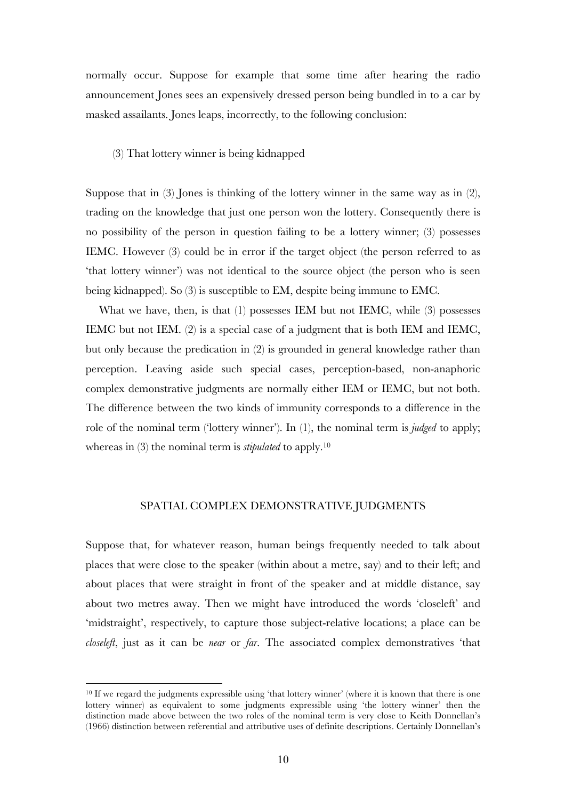normally occur. Suppose for example that some time after hearing the radio announcement Jones sees an expensively dressed person being bundled in to a car by masked assailants. Jones leaps, incorrectly, to the following conclusion:

# (3) That lottery winner is being kidnapped

Suppose that in (3) Jones is thinking of the lottery winner in the same way as in (2), trading on the knowledge that just one person won the lottery. Consequently there is no possibility of the person in question failing to be a lottery winner; (3) possesses IEMC. However (3) could be in error if the target object (the person referred to as 'that lottery winner') was not identical to the source object (the person who is seen being kidnapped). So (3) is susceptible to EM, despite being immune to EMC.

What we have, then, is that (1) possesses IEM but not IEMC, while (3) possesses IEMC but not IEM. (2) is a special case of a judgment that is both IEM and IEMC, but only because the predication in (2) is grounded in general knowledge rather than perception. Leaving aside such special cases, perception-based, non-anaphoric complex demonstrative judgments are normally either IEM or IEMC, but not both. The difference between the two kinds of immunity corresponds to a difference in the role of the nominal term ('lottery winner'). In (1), the nominal term is *judged* to apply; whereas in (3) the nominal term is *stipulated* to apply.<sup>10</sup>

# SPATIAL COMPLEX DEMONSTRATIVE JUDGMENTS

Suppose that, for whatever reason, human beings frequently needed to talk about places that were close to the speaker (within about a metre, say) and to their left; and about places that were straight in front of the speaker and at middle distance, say about two metres away. Then we might have introduced the words 'closeleft' and 'midstraight', respectively, to capture those subject-relative locations; a place can be *closeleft*, just as it can be *near* or *far*. The associated complex demonstratives 'that

<sup>10</sup> If we regard the judgments expressible using 'that lottery winner' (where it is known that there is one lottery winner) as equivalent to some judgments expressible using 'the lottery winner' then the distinction made above between the two roles of the nominal term is very close to Keith Donnellan's (1966) distinction between referential and attributive uses of definite descriptions. Certainly Donnellan's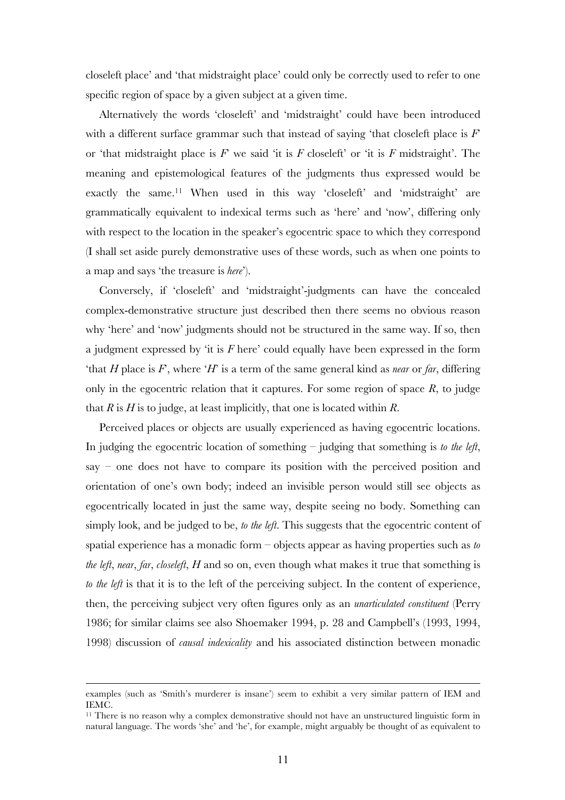closeleft place' and 'that midstraight place' could only be correctly used to refer to one specific region of space by a given subject at a given time.

Alternatively the words 'closeleft' and 'midstraight' could have been introduced with a different surface grammar such that instead of saying 'that closeleft place is  $F'$ or 'that midstraight place is *F*' we said 'it is *F* closeleft' or 'it is *F* midstraight'. The meaning and epistemological features of the judgments thus expressed would be exactly the same.11 When used in this way 'closeleft' and 'midstraight' are grammatically equivalent to indexical terms such as 'here' and 'now', differing only with respect to the location in the speaker's egocentric space to which they correspond (I shall set aside purely demonstrative uses of these words, such as when one points to a map and says 'the treasure is *here*').

Conversely, if 'closeleft' and 'midstraight'-judgments can have the concealed complex-demonstrative structure just described then there seems no obvious reason why 'here' and 'now' judgments should not be structured in the same way. If so, then a judgment expressed by 'it is *F* here' could equally have been expressed in the form 'that *H* place is *F*', where '*H*' is a term of the same general kind as *near* or *far*, differing only in the egocentric relation that it captures. For some region of space *R*, to judge that  $R$  is  $H$  is to judge, at least implicitly, that one is located within  $R$ .

Perceived places or objects are usually experienced as having egocentric locations. In judging the egocentric location of something – judging that something is *to the left*, say – one does not have to compare its position with the perceived position and orientation of one's own body; indeed an invisible person would still see objects as egocentrically located in just the same way, despite seeing no body. Something can simply look, and be judged to be, *to the left*. This suggests that the egocentric content of spatial experience has a monadic form – objects appear as having properties such as *to the left*, *near*, *far*, *closeleft*, *H* and so on, even though what makes it true that something is *to the left* is that it is to the left of the perceiving subject. In the content of experience, then, the perceiving subject very often figures only as an *unarticulated constituent* (Perry 1986; for similar claims see also Shoemaker 1994, p. 28 and Campbell's (1993, 1994, 1998) discussion of *causal indexicality* and his associated distinction between monadic

1

examples (such as 'Smith's murderer is insane') seem to exhibit a very similar pattern of IEM and IEMC.

<sup>&</sup>lt;sup>11</sup> There is no reason why a complex demonstrative should not have an unstructured linguistic form in natural language. The words 'she' and 'he', for example, might arguably be thought of as equivalent to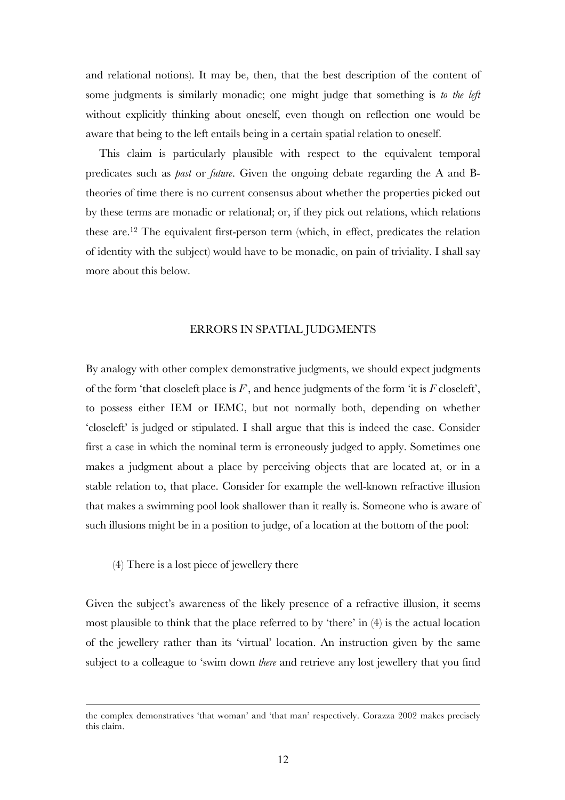and relational notions). It may be, then, that the best description of the content of some judgments is similarly monadic; one might judge that something is *to the left* without explicitly thinking about oneself, even though on reflection one would be aware that being to the left entails being in a certain spatial relation to oneself.

This claim is particularly plausible with respect to the equivalent temporal predicates such as *past* or *future*. Given the ongoing debate regarding the A and Btheories of time there is no current consensus about whether the properties picked out by these terms are monadic or relational; or, if they pick out relations, which relations these are.<sup>12</sup> The equivalent first-person term (which, in effect, predicates the relation of identity with the subject) would have to be monadic, on pain of triviality. I shall say more about this below.

#### ERRORS IN SPATIAL JUDGMENTS

By analogy with other complex demonstrative judgments, we should expect judgments of the form 'that closeleft place is *F*', and hence judgments of the form 'it is *F* closeleft', to possess either IEM or IEMC, but not normally both, depending on whether 'closeleft' is judged or stipulated. I shall argue that this is indeed the case. Consider first a case in which the nominal term is erroneously judged to apply. Sometimes one makes a judgment about a place by perceiving objects that are located at, or in a stable relation to, that place. Consider for example the well-known refractive illusion that makes a swimming pool look shallower than it really is. Someone who is aware of such illusions might be in a position to judge, of a location at the bottom of the pool:

(4) There is a lost piece of jewellery there

1

Given the subject's awareness of the likely presence of a refractive illusion, it seems most plausible to think that the place referred to by 'there' in (4) is the actual location of the jewellery rather than its 'virtual' location. An instruction given by the same subject to a colleague to 'swim down *there* and retrieve any lost jewellery that you find

the complex demonstratives 'that woman' and 'that man' respectively. Corazza 2002 makes precisely this claim.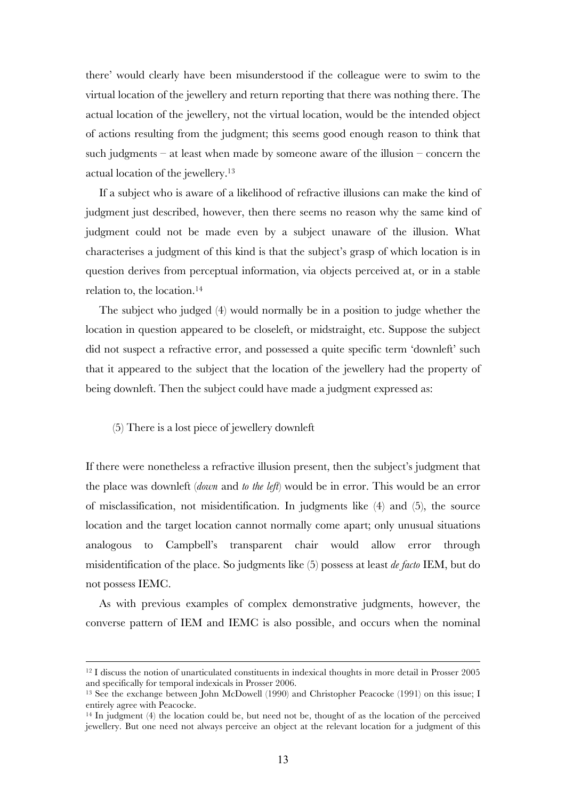there' would clearly have been misunderstood if the colleague were to swim to the virtual location of the jewellery and return reporting that there was nothing there. The actual location of the jewellery, not the virtual location, would be the intended object of actions resulting from the judgment; this seems good enough reason to think that such judgments – at least when made by someone aware of the illusion – concern the actual location of the jewellery.13

If a subject who is aware of a likelihood of refractive illusions can make the kind of judgment just described, however, then there seems no reason why the same kind of judgment could not be made even by a subject unaware of the illusion. What characterises a judgment of this kind is that the subject's grasp of which location is in question derives from perceptual information, via objects perceived at, or in a stable relation to, the location.14

The subject who judged (4) would normally be in a position to judge whether the location in question appeared to be closeleft, or midstraight, etc. Suppose the subject did not suspect a refractive error, and possessed a quite specific term 'downleft' such that it appeared to the subject that the location of the jewellery had the property of being downleft. Then the subject could have made a judgment expressed as:

# (5) There is a lost piece of jewellery downleft

1

If there were nonetheless a refractive illusion present, then the subject's judgment that the place was downleft (*down* and *to the left*) would be in error. This would be an error of misclassification, not misidentification. In judgments like (4) and (5), the source location and the target location cannot normally come apart; only unusual situations analogous to Campbell's transparent chair would allow error through misidentification of the place. So judgments like (5) possess at least *de facto* IEM, but do not possess IEMC.

As with previous examples of complex demonstrative judgments, however, the converse pattern of IEM and IEMC is also possible, and occurs when the nominal

<sup>12</sup> I discuss the notion of unarticulated constituents in indexical thoughts in more detail in Prosser 2005 and specifically for temporal indexicals in Prosser 2006.

<sup>13</sup> See the exchange between John McDowell (1990) and Christopher Peacocke (1991) on this issue; I entirely agree with Peacocke.

<sup>14</sup> In judgment (4) the location could be, but need not be, thought of as the location of the perceived jewellery. But one need not always perceive an object at the relevant location for a judgment of this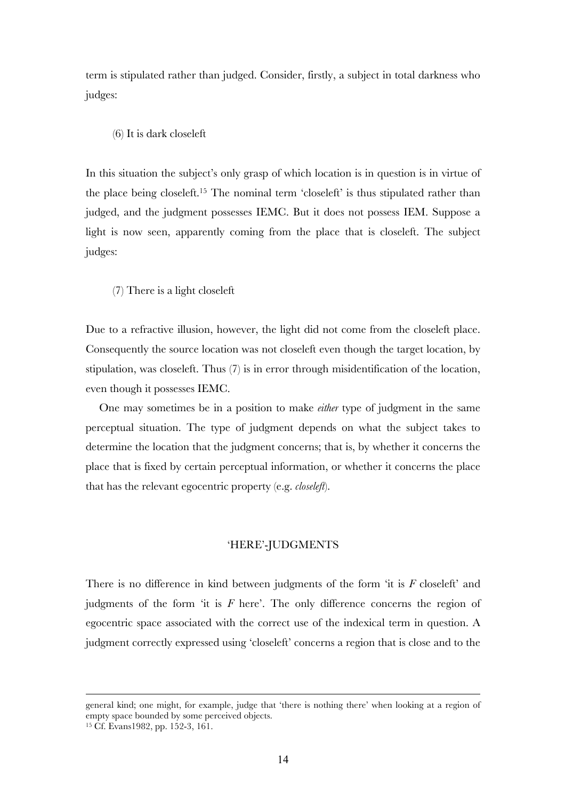term is stipulated rather than judged. Consider, firstly, a subject in total darkness who judges:

# (6) It is dark closeleft

In this situation the subject's only grasp of which location is in question is in virtue of the place being closeleft.15 The nominal term 'closeleft' is thus stipulated rather than judged, and the judgment possesses IEMC. But it does not possess IEM. Suppose a light is now seen, apparently coming from the place that is closeleft. The subject judges:

(7) There is a light closeleft

Due to a refractive illusion, however, the light did not come from the closeleft place. Consequently the source location was not closeleft even though the target location, by stipulation, was closeleft. Thus (7) is in error through misidentification of the location, even though it possesses IEMC.

One may sometimes be in a position to make *either* type of judgment in the same perceptual situation. The type of judgment depends on what the subject takes to determine the location that the judgment concerns; that is, by whether it concerns the place that is fixed by certain perceptual information, or whether it concerns the place that has the relevant egocentric property (e.g. *closeleft*).

# 'HERE'-JUDGMENTS

There is no difference in kind between judgments of the form 'it is *F* closeleft' and judgments of the form 'it is *F* here'. The only difference concerns the region of egocentric space associated with the correct use of the indexical term in question. A judgment correctly expressed using 'closeleft' concerns a region that is close and to the

<u>.</u>

general kind; one might, for example, judge that 'there is nothing there' when looking at a region of empty space bounded by some perceived objects.

<sup>15</sup> Cf. Evans1982, pp. 152-3, 161.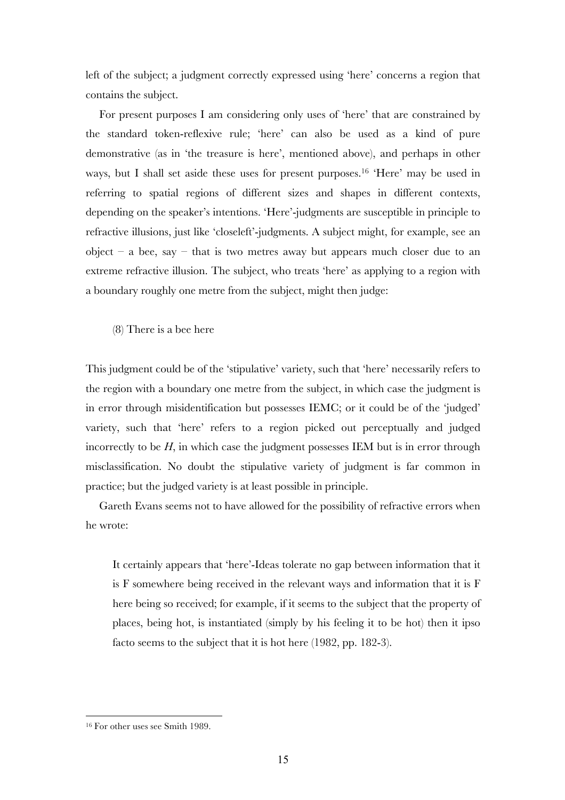left of the subject; a judgment correctly expressed using 'here' concerns a region that contains the subject.

For present purposes I am considering only uses of 'here' that are constrained by the standard token-reflexive rule; 'here' can also be used as a kind of pure demonstrative (as in 'the treasure is here', mentioned above), and perhaps in other ways, but I shall set aside these uses for present purposes.16 'Here' may be used in referring to spatial regions of different sizes and shapes in different contexts, depending on the speaker's intentions. 'Here'-judgments are susceptible in principle to refractive illusions, just like 'closeleft'-judgments. A subject might, for example, see an object – a bee, say – that is two metres away but appears much closer due to an extreme refractive illusion. The subject, who treats 'here' as applying to a region with a boundary roughly one metre from the subject, might then judge:

(8) There is a bee here

This judgment could be of the 'stipulative' variety, such that 'here' necessarily refers to the region with a boundary one metre from the subject, in which case the judgment is in error through misidentification but possesses IEMC; or it could be of the 'judged' variety, such that 'here' refers to a region picked out perceptually and judged incorrectly to be *H*, in which case the judgment possesses IEM but is in error through misclassification. No doubt the stipulative variety of judgment is far common in practice; but the judged variety is at least possible in principle.

Gareth Evans seems not to have allowed for the possibility of refractive errors when he wrote:

It certainly appears that 'here'-Ideas tolerate no gap between information that it is F somewhere being received in the relevant ways and information that it is F here being so received; for example, if it seems to the subject that the property of places, being hot, is instantiated (simply by his feeling it to be hot) then it ipso facto seems to the subject that it is hot here (1982, pp. 182-3).

<sup>16</sup> For other uses see Smith 1989.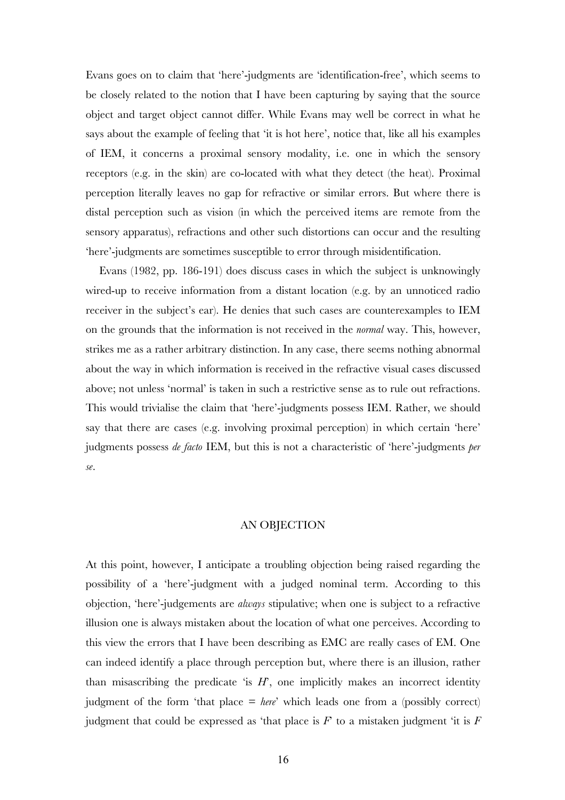Evans goes on to claim that 'here'-judgments are 'identification-free', which seems to be closely related to the notion that I have been capturing by saying that the source object and target object cannot differ. While Evans may well be correct in what he says about the example of feeling that 'it is hot here', notice that, like all his examples of IEM, it concerns a proximal sensory modality, i.e. one in which the sensory receptors (e.g. in the skin) are co-located with what they detect (the heat). Proximal perception literally leaves no gap for refractive or similar errors. But where there is distal perception such as vision (in which the perceived items are remote from the sensory apparatus), refractions and other such distortions can occur and the resulting 'here'-judgments are sometimes susceptible to error through misidentification.

Evans (1982, pp. 186-191) does discuss cases in which the subject is unknowingly wired-up to receive information from a distant location (e.g. by an unnoticed radio receiver in the subject's ear). He denies that such cases are counterexamples to IEM on the grounds that the information is not received in the *normal* way. This, however, strikes me as a rather arbitrary distinction. In any case, there seems nothing abnormal about the way in which information is received in the refractive visual cases discussed above; not unless 'normal' is taken in such a restrictive sense as to rule out refractions. This would trivialise the claim that 'here'-judgments possess IEM. Rather, we should say that there are cases (e.g. involving proximal perception) in which certain 'here' judgments possess *de facto* IEM, but this is not a characteristic of 'here'-judgments *per se*.

# AN OBJECTION

At this point, however, I anticipate a troubling objection being raised regarding the possibility of a 'here'-judgment with a judged nominal term. According to this objection, 'here'-judgements are *always* stipulative; when one is subject to a refractive illusion one is always mistaken about the location of what one perceives. According to this view the errors that I have been describing as EMC are really cases of EM. One can indeed identify a place through perception but, where there is an illusion, rather than misascribing the predicate 'is  $H$ , one implicitly makes an incorrect identity judgment of the form 'that place = *here*' which leads one from a (possibly correct) judgment that could be expressed as 'that place is  $F$  to a mistaken judgment 'it is  $F$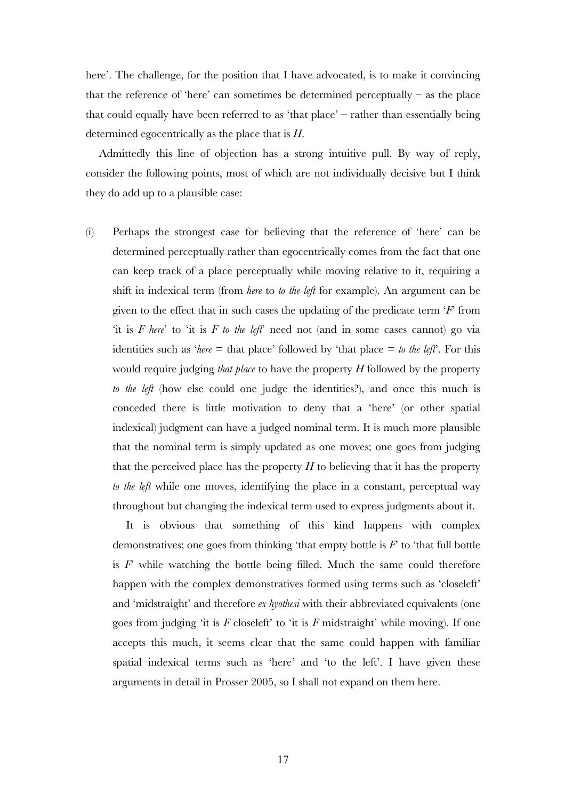here'. The challenge, for the position that I have advocated, is to make it convincing that the reference of 'here' can sometimes be determined perceptually  $-$  as the place that could equally have been referred to as 'that place' – rather than essentially being determined egocentrically as the place that is *H*.

Admittedly this line of objection has a strong intuitive pull. By way of reply, consider the following points, most of which are not individually decisive but I think they do add up to a plausible case:

(i) Perhaps the strongest case for believing that the reference of 'here' can be determined perceptually rather than egocentrically comes from the fact that one can keep track of a place perceptually while moving relative to it, requiring a shift in indexical term (from *here* to *to the left* for example). An argument can be given to the effect that in such cases the updating of the predicate term '*F*' from 'it is *F here*' to 'it is *F to the left*' need not (and in some cases cannot) go via identities such as '*here*  $=$  that place' followed by 'that place  $=$  *to the left*'. For this would require judging *that place* to have the property *H* followed by the property *to the left* (how else could one judge the identities?), and once this much is conceded there is little motivation to deny that a 'here' (or other spatial indexical) judgment can have a judged nominal term. It is much more plausible that the nominal term is simply updated as one moves; one goes from judging that the perceived place has the property  $H$  to believing that it has the property *to the left* while one moves, identifying the place in a constant, perceptual way throughout but changing the indexical term used to express judgments about it.

It is obvious that something of this kind happens with complex demonstratives; one goes from thinking 'that empty bottle is *F*' to 'that full bottle is  $F$  while watching the bottle being filled. Much the same could therefore happen with the complex demonstratives formed using terms such as 'closeleft' and 'midstraight' and therefore *ex hyothesi* with their abbreviated equivalents (one goes from judging 'it is *F* closeleft' to 'it is *F* midstraight' while moving). If one accepts this much, it seems clear that the same could happen with familiar spatial indexical terms such as 'here' and 'to the left'. I have given these arguments in detail in Prosser 2005, so I shall not expand on them here.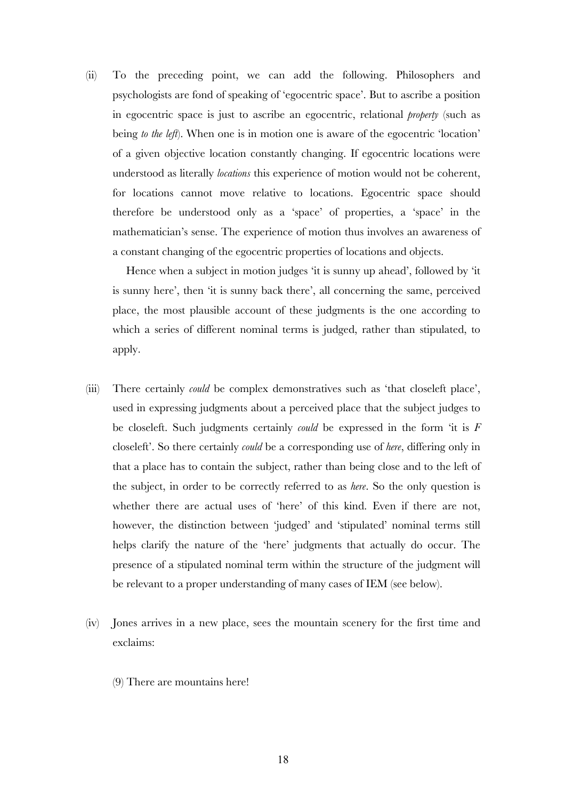(ii) To the preceding point, we can add the following. Philosophers and psychologists are fond of speaking of 'egocentric space'. But to ascribe a position in egocentric space is just to ascribe an egocentric, relational *property* (such as being *to the left*). When one is in motion one is aware of the egocentric 'location' of a given objective location constantly changing. If egocentric locations were understood as literally *locations* this experience of motion would not be coherent, for locations cannot move relative to locations. Egocentric space should therefore be understood only as a 'space' of properties, a 'space' in the mathematician's sense. The experience of motion thus involves an awareness of a constant changing of the egocentric properties of locations and objects.

Hence when a subject in motion judges 'it is sunny up ahead', followed by 'it is sunny here', then 'it is sunny back there', all concerning the same, perceived place, the most plausible account of these judgments is the one according to which a series of different nominal terms is judged, rather than stipulated, to apply.

- (iii) There certainly *could* be complex demonstratives such as 'that closeleft place', used in expressing judgments about a perceived place that the subject judges to be closeleft. Such judgments certainly *could* be expressed in the form 'it is *F* closeleft'. So there certainly *could* be a corresponding use of *here*, differing only in that a place has to contain the subject, rather than being close and to the left of the subject, in order to be correctly referred to as *here*. So the only question is whether there are actual uses of 'here' of this kind. Even if there are not, however, the distinction between 'judged' and 'stipulated' nominal terms still helps clarify the nature of the 'here' judgments that actually do occur. The presence of a stipulated nominal term within the structure of the judgment will be relevant to a proper understanding of many cases of IEM (see below).
- (iv) Jones arrives in a new place, sees the mountain scenery for the first time and exclaims:
	- (9) There are mountains here!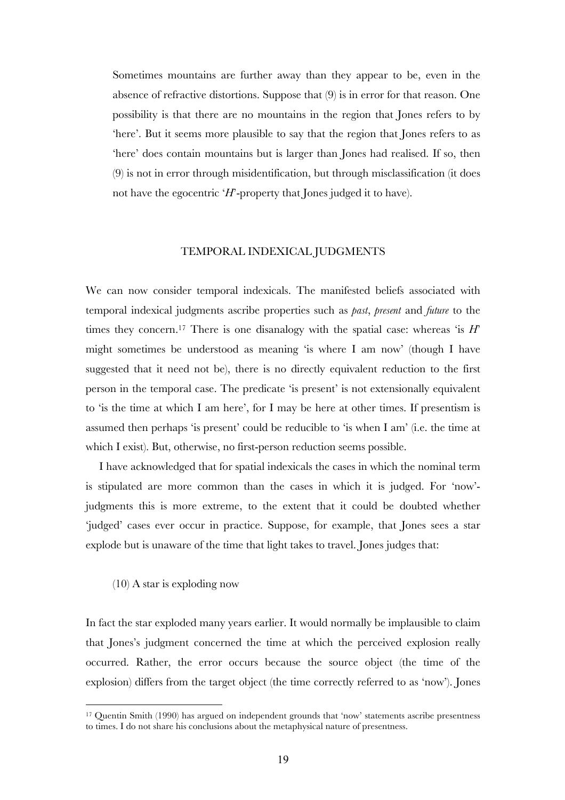Sometimes mountains are further away than they appear to be, even in the absence of refractive distortions. Suppose that (9) is in error for that reason. One possibility is that there are no mountains in the region that Jones refers to by 'here'. But it seems more plausible to say that the region that Jones refers to as 'here' does contain mountains but is larger than Jones had realised. If so, then (9) is not in error through misidentification, but through misclassification (it does not have the egocentric '*H*'-property that Jones judged it to have).

# TEMPORAL INDEXICAL JUDGMENTS

We can now consider temporal indexicals. The manifested beliefs associated with temporal indexical judgments ascribe properties such as *past*, *present* and *future* to the times they concern.17 There is one disanalogy with the spatial case: whereas 'is *H*' might sometimes be understood as meaning 'is where I am now' (though I have suggested that it need not be), there is no directly equivalent reduction to the first person in the temporal case. The predicate 'is present' is not extensionally equivalent to 'is the time at which I am here', for I may be here at other times. If presentism is assumed then perhaps 'is present' could be reducible to 'is when I am' (i.e. the time at which I exist). But, otherwise, no first-person reduction seems possible.

I have acknowledged that for spatial indexicals the cases in which the nominal term is stipulated are more common than the cases in which it is judged. For 'now' judgments this is more extreme, to the extent that it could be doubted whether 'judged' cases ever occur in practice. Suppose, for example, that Jones sees a star explode but is unaware of the time that light takes to travel. Jones judges that:

#### (10) A star is exploding now

 $\overline{a}$ 

In fact the star exploded many years earlier. It would normally be implausible to claim that Jones's judgment concerned the time at which the perceived explosion really occurred. Rather, the error occurs because the source object (the time of the explosion) differs from the target object (the time correctly referred to as 'now'). Jones

<sup>17</sup> Quentin Smith (1990) has argued on independent grounds that 'now' statements ascribe presentness to times. I do not share his conclusions about the metaphysical nature of presentness.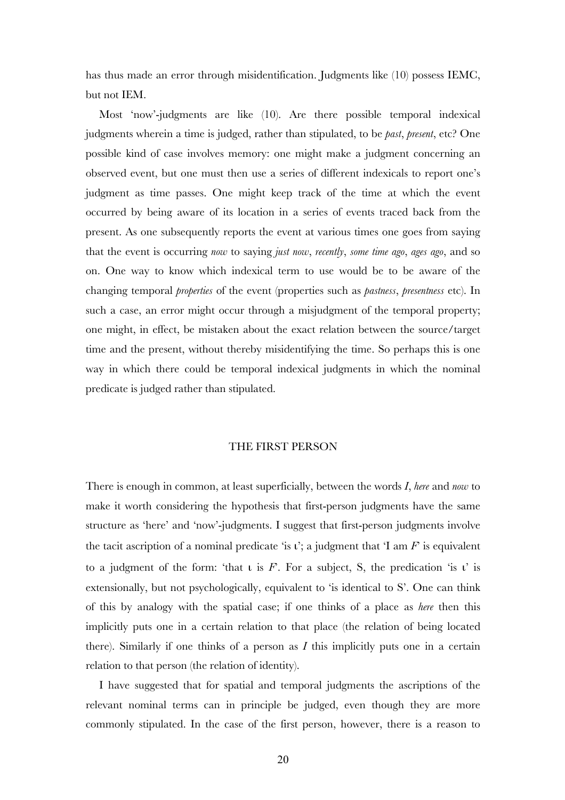has thus made an error through misidentification. Judgments like (10) possess IEMC, but not IEM.

Most 'now'-judgments are like (10). Are there possible temporal indexical judgments wherein a time is judged, rather than stipulated, to be *past*, *present*, etc? One possible kind of case involves memory: one might make a judgment concerning an observed event, but one must then use a series of different indexicals to report one's judgment as time passes. One might keep track of the time at which the event occurred by being aware of its location in a series of events traced back from the present. As one subsequently reports the event at various times one goes from saying that the event is occurring *now* to saying *just now*, *recently*, *some time ago*, *ages ago*, and so on. One way to know which indexical term to use would be to be aware of the changing temporal *properties* of the event (properties such as *pastness*, *presentness* etc). In such a case, an error might occur through a misjudgment of the temporal property; one might, in effect, be mistaken about the exact relation between the source/target time and the present, without thereby misidentifying the time. So perhaps this is one way in which there could be temporal indexical judgments in which the nominal predicate is judged rather than stipulated.

## THE FIRST PERSON

There is enough in common, at least superficially, between the words *I*, *here* and *now* to make it worth considering the hypothesis that first-person judgments have the same structure as 'here' and 'now'-judgments. I suggest that first-person judgments involve the tacit ascription of a nominal predicate 'is  $\mathfrak{t}'$ ; a judgment that 'I am  $F$  is equivalent to a judgment of the form: 'that  $\iota$  is *F*'. For a subject, *S*, the predication 'is  $\iota$ ' is extensionally, but not psychologically, equivalent to 'is identical to S'. One can think of this by analogy with the spatial case; if one thinks of a place as *here* then this implicitly puts one in a certain relation to that place (the relation of being located there). Similarly if one thinks of a person as  $I$  this implicitly puts one in a certain relation to that person (the relation of identity).

I have suggested that for spatial and temporal judgments the ascriptions of the relevant nominal terms can in principle be judged, even though they are more commonly stipulated. In the case of the first person, however, there is a reason to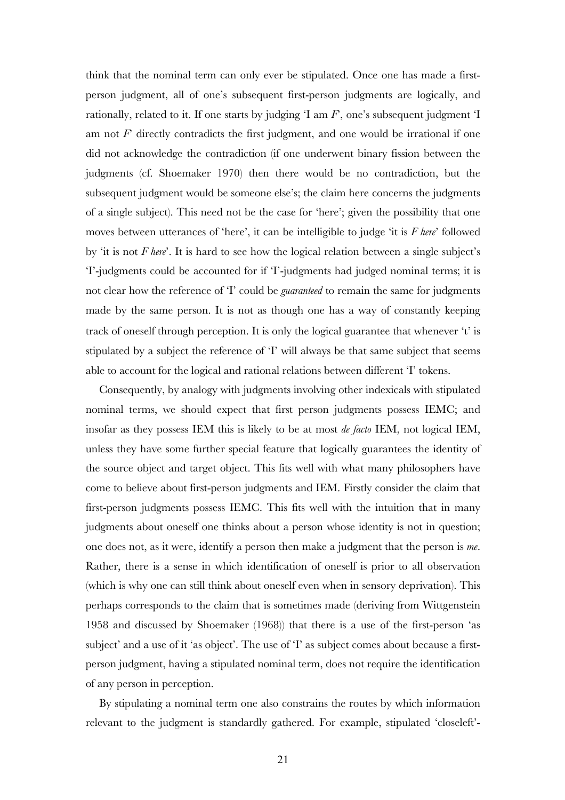think that the nominal term can only ever be stipulated. Once one has made a firstperson judgment, all of one's subsequent first-person judgments are logically, and rationally, related to it. If one starts by judging 'I am *F*', one's subsequent judgment 'I am not *F*' directly contradicts the first judgment, and one would be irrational if one did not acknowledge the contradiction (if one underwent binary fission between the judgments (cf. Shoemaker 1970) then there would be no contradiction, but the subsequent judgment would be someone else's; the claim here concerns the judgments of a single subject). This need not be the case for 'here'; given the possibility that one moves between utterances of 'here', it can be intelligible to judge 'it is *F here*' followed by 'it is not *F here*'. It is hard to see how the logical relation between a single subject's 'I'-judgments could be accounted for if 'I'-judgments had judged nominal terms; it is not clear how the reference of 'I' could be *guaranteed* to remain the same for judgments made by the same person. It is not as though one has a way of constantly keeping track of oneself through perception. It is only the logical guarantee that whenever  $\mathfrak{t}'$  is stipulated by a subject the reference of 'I' will always be that same subject that seems able to account for the logical and rational relations between different 'I' tokens.

Consequently, by analogy with judgments involving other indexicals with stipulated nominal terms, we should expect that first person judgments possess IEMC; and insofar as they possess IEM this is likely to be at most *de facto* IEM, not logical IEM, unless they have some further special feature that logically guarantees the identity of the source object and target object. This fits well with what many philosophers have come to believe about first-person judgments and IEM. Firstly consider the claim that first-person judgments possess IEMC. This fits well with the intuition that in many judgments about oneself one thinks about a person whose identity is not in question; one does not, as it were, identify a person then make a judgment that the person is *me*. Rather, there is a sense in which identification of oneself is prior to all observation (which is why one can still think about oneself even when in sensory deprivation). This perhaps corresponds to the claim that is sometimes made (deriving from Wittgenstein 1958 and discussed by Shoemaker (1968)) that there is a use of the first-person 'as subject' and a use of it 'as object'. The use of 'I' as subject comes about because a firstperson judgment, having a stipulated nominal term, does not require the identification of any person in perception.

By stipulating a nominal term one also constrains the routes by which information relevant to the judgment is standardly gathered. For example, stipulated 'closeleft'-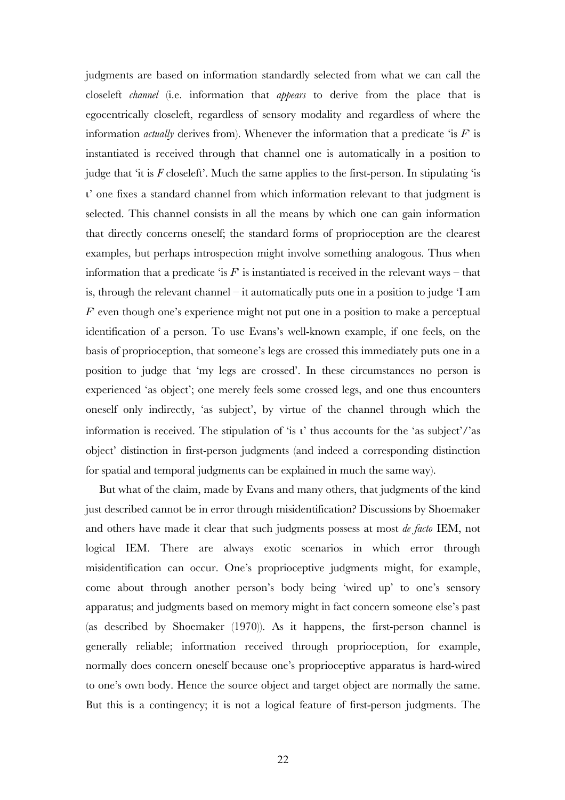judgments are based on information standardly selected from what we can call the closeleft *channel* (i.e. information that *appears* to derive from the place that is egocentrically closeleft, regardless of sensory modality and regardless of where the information *actually* derives from). Whenever the information that a predicate 'is *F*' is instantiated is received through that channel one is automatically in a position to judge that 'it is *F* closeleft'. Much the same applies to the first-person. In stipulating 'is ι' one fixes a standard channel from which information relevant to that judgment is selected. This channel consists in all the means by which one can gain information that directly concerns oneself; the standard forms of proprioception are the clearest examples, but perhaps introspection might involve something analogous. Thus when information that a predicate 'is  $F$  is instantiated is received in the relevant ways – that is, through the relevant channel – it automatically puts one in a position to judge 'I am *F* even though one's experience might not put one in a position to make a perceptual identification of a person. To use Evans's well-known example, if one feels, on the basis of proprioception, that someone's legs are crossed this immediately puts one in a position to judge that 'my legs are crossed'. In these circumstances no person is experienced 'as object'; one merely feels some crossed legs, and one thus encounters oneself only indirectly, 'as subject', by virtue of the channel through which the information is received. The stipulation of 'is ι' thus accounts for the 'as subject'/'as object' distinction in first-person judgments (and indeed a corresponding distinction for spatial and temporal judgments can be explained in much the same way).

But what of the claim, made by Evans and many others, that judgments of the kind just described cannot be in error through misidentification? Discussions by Shoemaker and others have made it clear that such judgments possess at most *de facto* IEM, not logical IEM. There are always exotic scenarios in which error through misidentification can occur. One's proprioceptive judgments might, for example, come about through another person's body being 'wired up' to one's sensory apparatus; and judgments based on memory might in fact concern someone else's past (as described by Shoemaker (1970)). As it happens, the first-person channel is generally reliable; information received through proprioception, for example, normally does concern oneself because one's proprioceptive apparatus is hard-wired to one's own body. Hence the source object and target object are normally the same. But this is a contingency; it is not a logical feature of first-person judgments. The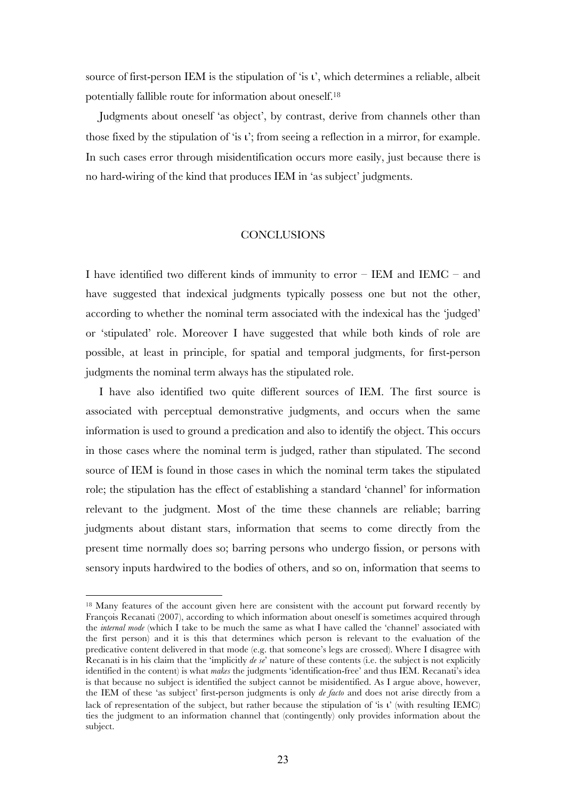source of first-person IEM is the stipulation of 'is ι', which determines a reliable, albeit potentially fallible route for information about oneself.18

Judgments about oneself 'as object', by contrast, derive from channels other than those fixed by the stipulation of 'is ι'; from seeing a reflection in a mirror, for example. In such cases error through misidentification occurs more easily, just because there is no hard-wiring of the kind that produces IEM in 'as subject' judgments.

# **CONCLUSIONS**

I have identified two different kinds of immunity to error – IEM and IEMC – and have suggested that indexical judgments typically possess one but not the other, according to whether the nominal term associated with the indexical has the 'judged' or 'stipulated' role. Moreover I have suggested that while both kinds of role are possible, at least in principle, for spatial and temporal judgments, for first-person judgments the nominal term always has the stipulated role.

I have also identified two quite different sources of IEM. The first source is associated with perceptual demonstrative judgments, and occurs when the same information is used to ground a predication and also to identify the object. This occurs in those cases where the nominal term is judged, rather than stipulated. The second source of IEM is found in those cases in which the nominal term takes the stipulated role; the stipulation has the effect of establishing a standard 'channel' for information relevant to the judgment. Most of the time these channels are reliable; barring judgments about distant stars, information that seems to come directly from the present time normally does so; barring persons who undergo fission, or persons with sensory inputs hardwired to the bodies of others, and so on, information that seems to

<sup>&</sup>lt;sup>18</sup> Many features of the account given here are consistent with the account put forward recently by François Recanati (2007), according to which information about oneself is sometimes acquired through the *internal mode* (which I take to be much the same as what I have called the 'channel' associated with the first person) and it is this that determines which person is relevant to the evaluation of the predicative content delivered in that mode (e.g. that someone's legs are crossed). Where I disagree with Recanati is in his claim that the 'implicitly *de se*' nature of these contents (i.e. the subject is not explicitly identified in the content) is what *makes* the judgments 'identification-free' and thus IEM. Recanati's idea is that because no subject is identified the subject cannot be misidentified. As I argue above, however, the IEM of these 'as subject' first-person judgments is only *de facto* and does not arise directly from a lack of representation of the subject, but rather because the stipulation of 'is ι' (with resulting IEMC) ties the judgment to an information channel that (contingently) only provides information about the subject.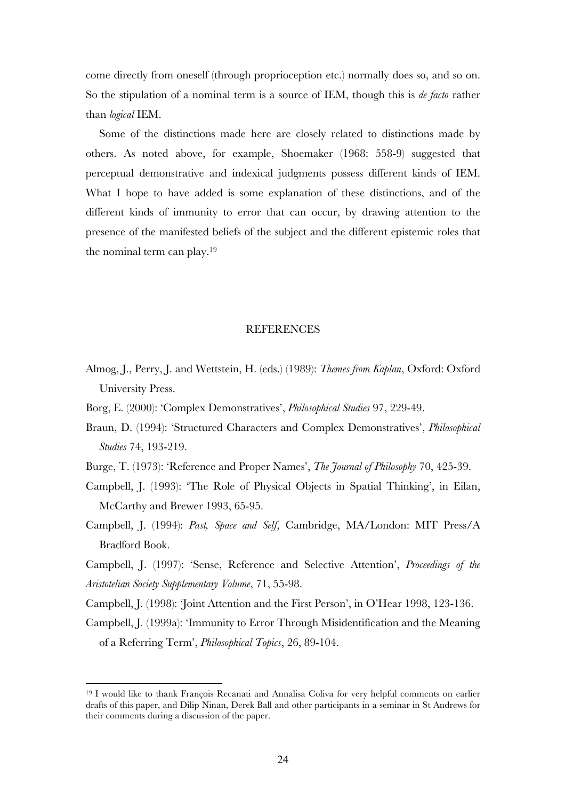come directly from oneself (through proprioception etc.) normally does so, and so on. So the stipulation of a nominal term is a source of IEM, though this is *de facto* rather than *logical* IEM.

Some of the distinctions made here are closely related to distinctions made by others. As noted above, for example, Shoemaker (1968: 558-9) suggested that perceptual demonstrative and indexical judgments possess different kinds of IEM. What I hope to have added is some explanation of these distinctions, and of the different kinds of immunity to error that can occur, by drawing attention to the presence of the manifested beliefs of the subject and the different epistemic roles that the nominal term can play.19

# **REFERENCES**

- Almog, J., Perry, J. and Wettstein, H. (eds.) (1989): *Themes from Kaplan*, Oxford: Oxford University Press.
- Borg, E. (2000): 'Complex Demonstratives', *Philosophical Studies* 97, 229-49.
- Braun, D. (1994): 'Structured Characters and Complex Demonstratives', *Philosophical Studies* 74, 193-219.
- Burge, T. (1973): 'Reference and Proper Names', *The Journal of Philosophy* 70, 425-39.
- Campbell, J. (1993): 'The Role of Physical Objects in Spatial Thinking', in Eilan, McCarthy and Brewer 1993, 65-95.
- Campbell, J. (1994): *Past, Space and Self*, Cambridge, MA/London: MIT Press/A Bradford Book.
- Campbell, J. (1997): 'Sense, Reference and Selective Attention', *Proceedings of the Aristotelian Society Supplementary Volume*, 71, 55-98.
- Campbell, J. (1998): 'Joint Attention and the First Person', in O'Hear 1998, 123-136.
- Campbell, J. (1999a): 'Immunity to Error Through Misidentification and the Meaning of a Referring Term', *Philosophical Topics*, 26, 89-104.

<sup>19</sup> I would like to thank François Recanati and Annalisa Coliva for very helpful comments on earlier drafts of this paper, and Dilip Ninan, Derek Ball and other participants in a seminar in St Andrews for their comments during a discussion of the paper.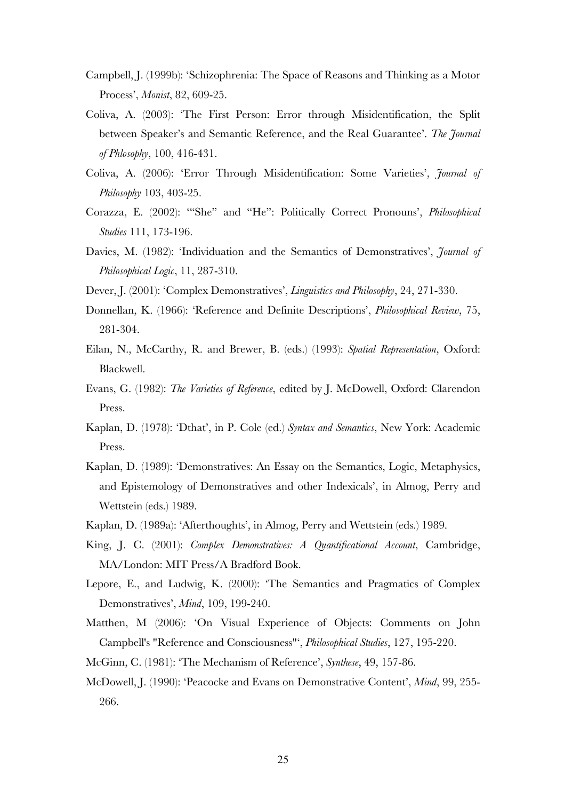- Campbell, J. (1999b): 'Schizophrenia: The Space of Reasons and Thinking as a Motor Process', *Monist*, 82, 609-25.
- Coliva, A. (2003): 'The First Person: Error through Misidentification, the Split between Speaker's and Semantic Reference, and the Real Guarantee'. *The Journal of Phlosophy*, 100, 416-431.
- Coliva, A. (2006): 'Error Through Misidentification: Some Varieties', *Journal of Philosophy* 103, 403-25.
- Corazza, E. (2002): '"She" and "He": Politically Correct Pronouns', *Philosophical Studies* 111, 173-196.
- Davies, M. (1982): 'Individuation and the Semantics of Demonstratives', *Journal of Philosophical Logic*, 11, 287-310.
- Dever, J. (2001): 'Complex Demonstratives', *Linguistics and Philosophy*, 24, 271-330.
- Donnellan, K. (1966): 'Reference and Definite Descriptions', *Philosophical Review*, 75, 281-304.
- Eilan, N., McCarthy, R. and Brewer, B. (eds.) (1993): *Spatial Representation*, Oxford: Blackwell.
- Evans, G. (1982): *The Varieties of Reference*, edited by J. McDowell, Oxford: Clarendon Press.
- Kaplan, D. (1978): 'Dthat', in P. Cole (ed.) *Syntax and Semantics*, New York: Academic Press.
- Kaplan, D. (1989): 'Demonstratives: An Essay on the Semantics, Logic, Metaphysics, and Epistemology of Demonstratives and other Indexicals', in Almog, Perry and Wettstein (eds.) 1989.
- Kaplan, D. (1989a): 'Afterthoughts', in Almog, Perry and Wettstein (eds.) 1989.
- King, J. C. (2001): *Complex Demonstratives: A Quantificational Account*, Cambridge, MA/London: MIT Press/A Bradford Book.
- Lepore, E., and Ludwig, K. (2000): 'The Semantics and Pragmatics of Complex Demonstratives', *Mind*, 109, 199-240.
- Matthen, M (2006): 'On Visual Experience of Objects: Comments on John Campbell's "Reference and Consciousness"', *Philosophical Studies*, 127, 195-220.
- McGinn, C. (1981): 'The Mechanism of Reference', *Synthese*, 49, 157-86.
- McDowell, J. (1990): 'Peacocke and Evans on Demonstrative Content', *Mind*, 99, 255- 266.